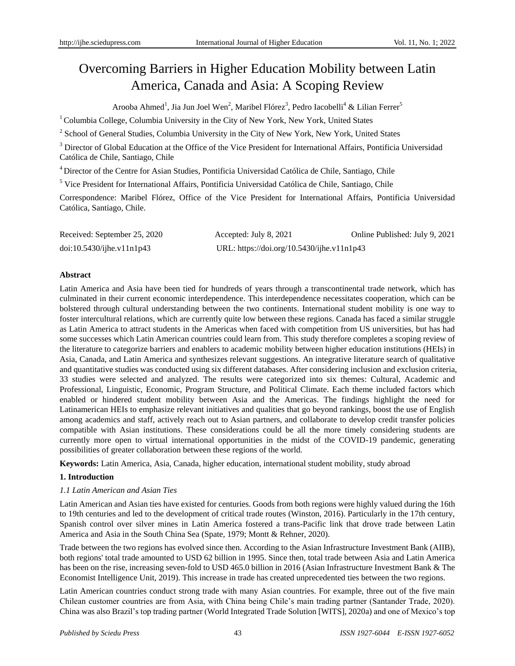# Overcoming Barriers in Higher Education Mobility between Latin America, Canada and Asia: A Scoping Review

Arooba Ahmed<sup>1</sup>, Jia Jun Joel Wen<sup>2</sup>, Maribel Flórez<sup>3</sup>, Pedro Iacobelli<sup>4</sup> & Lilian Ferrer<sup>5</sup>

 $1$ Columbia College, Columbia University in the City of New York, New York, United States

<sup>2</sup> School of General Studies, Columbia University in the City of New York, New York, United States

<sup>3</sup> Director of Global Education at the Office of the Vice President for International Affairs, Pontificia Universidad Católica de Chile, Santiago, Chile

<sup>4</sup>Director of the Centre for Asian Studies, Pontificia Universidad Católica de Chile, Santiago, Chile

<sup>5</sup> Vice President for International Affairs, Pontificia Universidad Católica de Chile, Santiago, Chile

Correspondence: Maribel Flórez, Office of the Vice President for International Affairs, Pontificia Universidad Católica, Santiago, Chile.

| Received: September 25, 2020    | Accepted: July 8, 2021                     | Online Published: July 9, 2021 |
|---------------------------------|--------------------------------------------|--------------------------------|
| $doi:10.5430/ij$ he.v $11n1p43$ | URL: https://doi.org/10.5430/ijhe.v11n1p43 |                                |

# **Abstract**

Latin America and Asia have been tied for hundreds of years through a transcontinental trade network, which has culminated in their current economic interdependence. This interdependence necessitates cooperation, which can be bolstered through cultural understanding between the two continents. International student mobility is one way to foster intercultural relations, which are currently quite low between these regions. Canada has faced a similar struggle as Latin America to attract students in the Americas when faced with competition from US universities, but has had some successes which Latin American countries could learn from. This study therefore completes a scoping review of the literature to categorize barriers and enablers to academic mobility between higher education institutions (HEIs) in Asia, Canada, and Latin America and synthesizes relevant suggestions. An integrative literature search of qualitative and quantitative studies was conducted using six different databases. After considering inclusion and exclusion criteria, 33 studies were selected and analyzed. The results were categorized into six themes: Cultural, Academic and Professional, Linguistic, Economic, Program Structure, and Political Climate. Each theme included factors which enabled or hindered student mobility between Asia and the Americas. The findings highlight the need for Latinamerican HEIs to emphasize relevant initiatives and qualities that go beyond rankings, boost the use of English among academics and staff, actively reach out to Asian partners, and collaborate to develop credit transfer policies compatible with Asian institutions. These considerations could be all the more timely considering students are currently more open to virtual international opportunities in the midst of the COVID-19 pandemic, generating possibilities of greater collaboration between these regions of the world.

**Keywords:** Latin America, Asia, Canada, higher education, international student mobility, study abroad

# **1. Introduction**

# *1.1 Latin American and Asian Ties*

Latin American and Asian ties have existed for centuries. Goods from both regions were highly valued during the 16th to 19th centuries and led to the development of critical trade routes (Winston, 2016). Particularly in the 17th century, Spanish control over silver mines in Latin America fostered a trans-Pacific link that drove trade between Latin America and Asia in the South China Sea (Spate, 1979; Montt & Rehner, 2020).

Trade between the two regions has evolved since then. According to the Asian Infrastructure Investment Bank (AIIB), both regions' total trade amounted to USD 62 billion in 1995. Since then, total trade between Asia and Latin America has been on the rise, increasing seven-fold to USD 465.0 billion in 2016 (Asian Infrastructure Investment Bank & The Economist Intelligence Unit, 2019). This increase in trade has created unprecedented ties between the two regions.

Latin American countries conduct strong trade with many Asian countries. For example, three out of the five main Chilean customer countries are from Asia, with China being Chile's main trading partner (Santander Trade, 2020). China was also Brazil's top trading partner (World Integrated Trade Solution [WITS], 2020a) and one of Mexico's top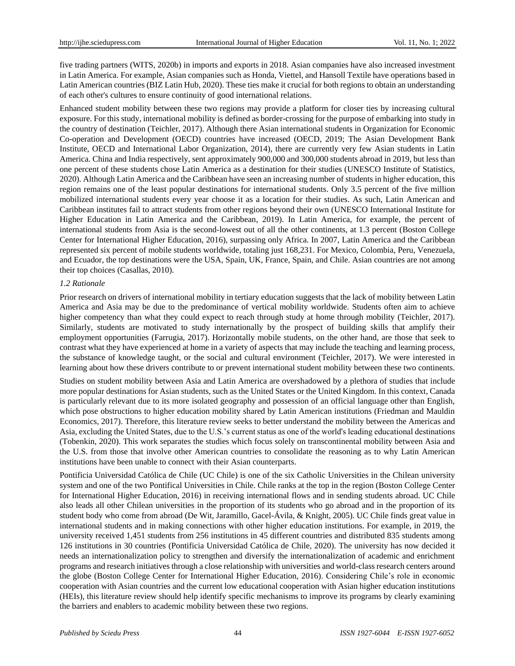five trading partners (WITS, 2020b) in imports and exports in 2018. Asian companies have also increased investment in Latin America. For example, Asian companies such as Honda, Viettel, and Hansoll Textile have operations based in Latin American countries (BIZ Latin Hub, 2020). These ties make it crucial for both regions to obtain an understanding of each other's cultures to ensure continuity of good international relations.

Enhanced student mobility between these two regions may provide a platform for closer ties by increasing cultural exposure. For this study, international mobility is defined as border-crossing for the purpose of embarking into study in the country of destination (Teichler, 2017). Although there Asian international students in Organization for Economic Co-operation and Development (OECD) countries have increased (OECD, 2019; The Asian Development Bank Institute, OECD and International Labor Organization, 2014), there are currently very few Asian students in Latin America. China and India respectively, sent approximately 900,000 and 300,000 students abroad in 2019, but less than one percent of these students chose Latin America as a destination for their studies (UNESCO Institute of Statistics, 2020). Although Latin America and the Caribbean have seen an increasing number of students in higher education, this region remains one of the least popular destinations for international students. Only 3.5 percent of the five million mobilized international students every year choose it as a location for their studies. As such, Latin American and Caribbean institutes fail to attract students from other regions beyond their own (UNESCO International Institute for Higher Education in Latin America and the Caribbean, 2019). In Latin America, for example, the percent of international students from Asia is the second-lowest out of all the other continents, at 1.3 percent (Boston College Center for International Higher Education, 2016), surpassing only Africa. In 2007, Latin America and the Caribbean represented six percent of mobile students worldwide, totaling just 168,231. For Mexico, Colombia, Peru, Venezuela, and Ecuador, the top destinations were the USA, Spain, UK, France, Spain, and Chile. Asian countries are not among their top choices (Casallas, 2010).

#### *1.2 Rationale*

Prior research on drivers of international mobility in tertiary education suggests that the lack of mobility between Latin America and Asia may be due to the predominance of vertical mobility worldwide. Students often aim to achieve higher competency than what they could expect to reach through study at home through mobility (Teichler, 2017). Similarly, students are motivated to study internationally by the prospect of building skills that amplify their employment opportunities (Farrugia, 2017). Horizontally mobile students, on the other hand, are those that seek to contrast what they have experienced at home in a variety of aspects that may include the teaching and learning process, the substance of knowledge taught, or the social and cultural environment (Teichler, 2017). We were interested in learning about how these drivers contribute to or prevent international student mobility between these two continents.

Studies on student mobility between Asia and Latin America are overshadowed by a plethora of studies that include more popular destinations for Asian students, such as the United States or the United Kingdom. In this context, Canada is particularly relevant due to its more isolated geography and possession of an official language other than English, which pose obstructions to higher education mobility shared by Latin American institutions (Friedman and Mauldin Economics, 2017). Therefore, this literature review seeks to better understand the mobility between the Americas and Asia, excluding the United States, due to the U.S.'s current status as one of the world's leading educational destinations (Tobenkin, 2020). This work separates the studies which focus solely on transcontinental mobility between Asia and the U.S. from those that involve other American countries to consolidate the reasoning as to why Latin American institutions have been unable to connect with their Asian counterparts.

[Pontificia Universidad Católica de Chile](http://www.uc.cl/en) (UC Chile) is one of the six Catholic Universities in the Chilean university system and one of the two Pontifical Universities in Chile. Chile ranks at the top in the region (Boston College Center for International Higher Education, 2016) in receiving international flows and in sending students abroad. UC Chile also leads all other Chilean universities in the proportion of its students who go abroad and in the proportion of its student body who come from abroad (De Wit, Jaramillo, Gacel-Ávila, & Knight, 2005). UC Chile finds great value in international students and in making connections with other higher education institutions. For example, in 2019, the university received 1,451 students from 256 institutions in 45 different countries and distributed 835 students among 126 institutions in 30 countries [\(Pontificia Universidad Católica de Chile,](http://www.uc.cl/en) 2020). The university has now decided it needs an internationalization policy to strengthen and diversify the internationalization of academic and enrichment programs and research initiatives through a close relationship with universities and world-class research centers around the globe (Boston College Center for International Higher Education, 2016). Considering Chile's role in economic cooperation with Asian countries and the current low educational cooperation with Asian higher education institutions (HEIs), this literature review should help identify specific mechanisms to improve its programs by clearly examining the barriers and enablers to academic mobility between these two regions.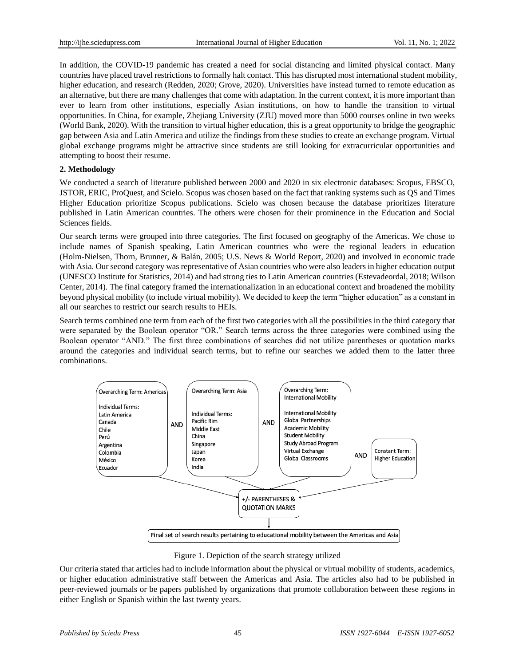In addition, the COVID-19 pandemic has created a need for social distancing and limited physical contact. Many countries have placed travel restrictions to formally halt contact. This has disrupted most international student mobility, higher education, and research (Redden, 2020; Grove, 2020). Universities have instead turned to remote education as an alternative, but there are many challenges that come with adaptation. In the current context, it is more important than ever to learn from other institutions, especially Asian institutions, on how to handle the transition to virtual opportunities. In China, for example, Zhejiang University (ZJU) moved more than 5000 courses online in two weeks (World Bank, 2020). With the transition to virtual higher education, this is a great opportunity to bridge the geographic gap between Asia and Latin America and utilize the findings from these studies to create an exchange program. Virtual global exchange programs might be attractive since students are still looking for extracurricular opportunities and attempting to boost their resume.

#### **2. Methodology**

We conducted a search of literature published between 2000 and 2020 in six electronic databases: Scopus, EBSCO, JSTOR, ERIC, ProQuest, and Scielo. Scopus was chosen based on the fact that ranking systems such as QS and Times Higher Education prioritize Scopus publications. Scielo was chosen because the database prioritizes literature published in Latin American countries. The others were chosen for their prominence in the Education and Social Sciences fields.

Our search terms were grouped into three categories. The first focused on geography of the Americas. We chose to include names of Spanish speaking, Latin American countries who were the regional leaders in education (Holm-Nielsen, Thorn, Brunner, & Balán, 2005; U.S. News & World Report, 2020) and involved in economic trade with Asia. Our second category was representative of Asian countries who were also leaders in higher education output (UNESCO Institute for Statistics, 2014) and had strong ties to Latin American countries (Estevadeordal, 2018; Wilson Center, 2014). The final category framed the internationalization in an educational context and broadened the mobility beyond physical mobility (to include virtual mobility). We decided to keep the term "higher education" as a constant in all our searches to restrict our search results to HEIs.

Search terms combined one term from each of the first two categories with all the possibilities in the third category that were separated by the Boolean operator "OR." Search terms across the three categories were combined using the Boolean operator "AND." The first three combinations of searches did not utilize parentheses or quotation marks around the categories and individual search terms, but to refine our searches we added them to the latter three combinations.



Figure 1. Depiction of the search strategy utilized

Our criteria stated that articles had to include information about the physical or virtual mobility of students, academics, or higher education administrative staff between the Americas and Asia. The articles also had to be published in peer-reviewed journals or be papers published by organizations that promote collaboration between these regions in either English or Spanish within the last twenty years.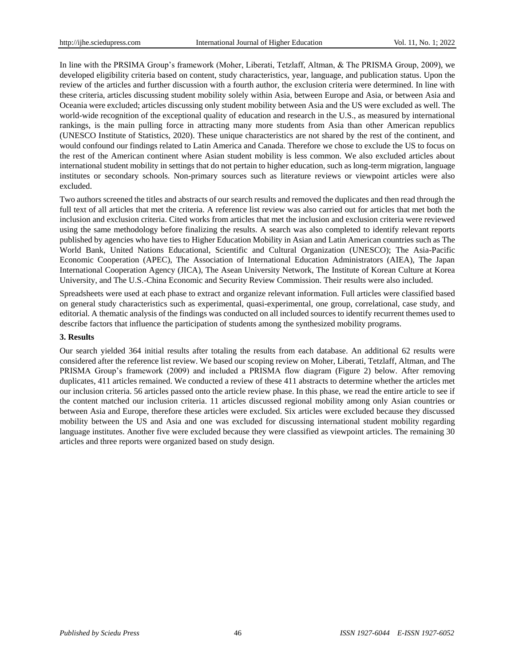In line with the PRSIMA Group's framework (Moher, Liberati, Tetzlaff, Altman, & The PRISMA Group, 2009), we developed eligibility criteria based on content, study characteristics, year, language, and publication status. Upon the review of the articles and further discussion with a fourth author, the exclusion criteria were determined. In line with these criteria, articles discussing student mobility solely within Asia, between Europe and Asia, or between Asia and Oceania were excluded; articles discussing only student mobility between Asia and the US were excluded as well. The world-wide recognition of the exceptional quality of education and research in the U.S., as measured by international rankings, is the main pulling force in attracting many more students from Asia than other American republics (UNESCO Institute of Statistics, 2020). These unique characteristics are not shared by the rest of the continent, and would confound our findings related to Latin America and Canada. Therefore we chose to exclude the US to focus on the rest of the American continent where Asian student mobility is less common. We also excluded articles about international student mobility in settings that do not pertain to higher education, such as long-term migration, language institutes or secondary schools. Non-primary sources such as literature reviews or viewpoint articles were also excluded.

Two authors screened the titles and abstracts of our search results and removed the duplicates and then read through the full text of all articles that met the criteria. A reference list review was also carried out for articles that met both the inclusion and exclusion criteria. Cited works from articles that met the inclusion and exclusion criteria were reviewed using the same methodology before finalizing the results. A search was also completed to identify relevant reports published by agencies who have ties to Higher Education Mobility in Asian and Latin American countries such as The World Bank, United Nations Educational, Scientific and Cultural Organization (UNESCO); The Asia-Pacific Economic Cooperation (APEC), The Association of International Education Administrators (AIEA), The Japan International Cooperation Agency (JICA), The Asean University Network, The Institute of Korean Culture at Korea University, and The U.S.-China Economic and Security Review Commission. Their results were also included.

Spreadsheets were used at each phase to extract and organize relevant information. Full articles were classified based on general study characteristics such as experimental, quasi-experimental, one group, correlational, case study, and editorial. A thematic analysis of the findings was conducted on all included sources to identify recurrent themes used to describe factors that influence the participation of students among the synthesized mobility programs.

#### **3. Results**

Our search yielded 364 initial results after totaling the results from each database. An additional 62 results were considered after the reference list review. We based our scoping review on Moher, Liberati, Tetzlaff, Altman, and The PRISMA Group's framework (2009) and included a PRISMA flow diagram (Figure 2) below. After removing duplicates, 411 articles remained. We conducted a review of these 411 abstracts to determine whether the articles met our inclusion criteria. 56 articles passed onto the article review phase. In this phase, we read the entire article to see if the content matched our inclusion criteria. 11 articles discussed regional mobility among only Asian countries or between Asia and Europe, therefore these articles were excluded. Six articles were excluded because they discussed mobility between the US and Asia and one was excluded for discussing international student mobility regarding language institutes. Another five were excluded because they were classified as viewpoint articles. The remaining 30 articles and three reports were organized based on study design.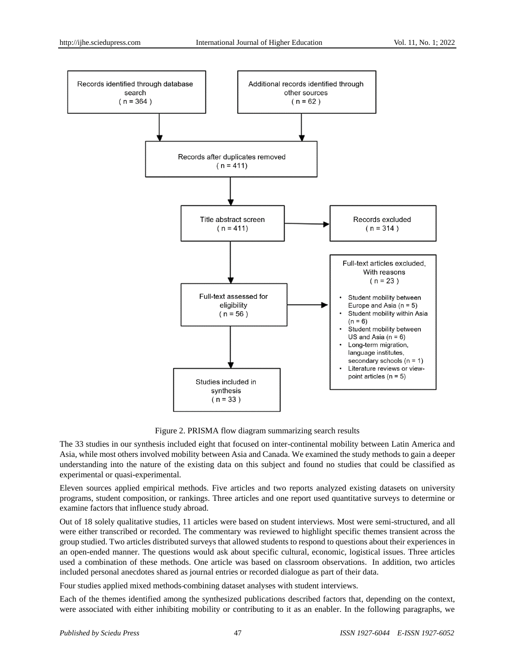

Figure 2. PRISMA flow diagram summarizing search results

The 33 studies in our synthesis included eight that focused on inter-continental mobility between Latin America and Asia, while most others involved mobility between Asia and Canada. We examined the study methods to gain a deeper understanding into the nature of the existing data on this subject and found no studies that could be classified as experimental or quasi-experimental.

Eleven sources applied empirical methods. Five articles and two reports analyzed existing datasets on university programs, student composition, or rankings. Three articles and one report used quantitative surveys to determine or examine factors that influence study abroad.

Out of 18 solely qualitative studies, 11 articles were based on student interviews. Most were semi-structured, and all were either transcribed or recorded. The commentary was reviewed to highlight specific themes transient across the group studied. Two articles distributed surveys that allowed students to respond to questions about their experiences in an open-ended manner. The questions would ask about specific cultural, economic, logistical issues. Three articles used a combination of these methods. One article was based on classroom observations. In addition, two articles included personal anecdotes shared as journal entries or recorded dialogue as part of their data.

Four studies applied mixed methods combining dataset analyses with student interviews.

Each of the themes identified among the synthesized publications described factors that, depending on the context, were associated with either inhibiting mobility or contributing to it as an enabler. In the following paragraphs, we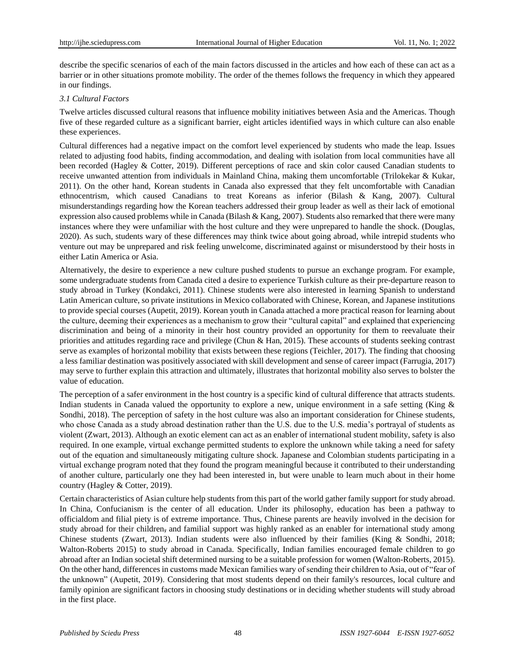describe the specific scenarios of each of the main factors discussed in the articles and how each of these can act as a barrier or in other situations promote mobility. The order of the themes follows the frequency in which they appeared in our findings.

#### *3.1 Cultural Factors*

Twelve articles discussed cultural reasons that influence mobility initiatives between Asia and the Americas. Though five of these regarded culture as a significant barrier, eight articles identified ways in which culture can also enable these experiences.

Cultural differences had a negative impact on the comfort level experienced by students who made the leap. Issues related to adjusting food habits, finding accommodation, and dealing with isolation from local communities have all been recorded (Hagley & Cotter, 2019). Different perceptions of race and skin color caused Canadian students to receive unwanted attention from individuals in Mainland China, making them uncomfortable (Trilokekar & Kukar, 2011). On the other hand, Korean students in Canada also expressed that they felt uncomfortable with Canadian ethnocentrism, which caused Canadians to treat Koreans as inferior (Bilash & Kang, 2007). Cultural misunderstandings regarding how the Korean teachers addressed their group leader as well as their lack of emotional expression also caused problems while in Canada (Bilash  $\&$  Kang, 2007). Students also remarked that there were many instances where they were unfamiliar with the host culture and they were unprepared to handle the shock. (Douglas, 2020). As such, students wary of these differences may think twice about going abroad, while intrepid students who venture out may be unprepared and risk feeling unwelcome, discriminated against or misunderstood by their hosts in either Latin America or Asia.

Alternatively, the desire to experience a new culture pushed students to pursue an exchange program. For example, some undergraduate students from Canada cited a desire to experience Turkish culture as their pre-departure reason to study abroad in Turkey (Kondakci, 2011). Chinese students were also interested in learning Spanish to understand Latin American culture, so private institutions in Mexico collaborated with Chinese, Korean, and Japanese institutions to provide special courses (Aupetit, 2019). Korean youth in Canada attached a more practical reason for learning about the culture, deeming their experiences as a mechanism to grow their "cultural capital" and explained that experiencing discrimination and being of a minority in their host country provided an opportunity for them to reevaluate their priorities and attitudes regarding race and privilege (Chun & Han, 2015). These accounts of students seeking contrast serve as examples of horizontal mobility that exists between these regions (Teichler, 2017). The finding that choosing a less familiar destination was positively associated with skill development and sense of career impact (Farrugia, 2017) may serve to further explain this attraction and ultimately, illustrates that horizontal mobility also serves to bolster the value of education.

The perception of a safer environment in the host country is a specific kind of cultural difference that attracts students. Indian students in Canada valued the opportunity to explore a new, unique environment in a safe setting (King & Sondhi, 2018). The perception of safety in the host culture was also an important consideration for Chinese students, who chose Canada as a study abroad destination rather than the U.S. due to the U.S. media's portrayal of students as violent (Zwart, 2013). Although an exotic element can act as an enabler of international student mobility, safety is also required. In one example, virtual exchange permitted students to explore the unknown while taking a need for safety out of the equation and simultaneously mitigating culture shock. Japanese and Colombian students participating in a virtual exchange program noted that they found the program meaningful because it contributed to their understanding of another culture, particularly one they had been interested in, but were unable to learn much about in their home country (Hagley & Cotter, 2019).

Certain characteristics of Asian culture help students from this part of the world gather family support for study abroad. In China, Confucianism is the center of all education. Under its philosophy, education has been a pathway to officialdom and filial piety is of extreme importance. Thus, Chinese parents are heavily involved in the decision for study abroad for their children, and familial support was highly ranked as an enabler for international study among Chinese students (Zwart, 2013). Indian students were also influenced by their families (King & Sondhi, 2018; Walton-Roberts 2015) to study abroad in Canada. Specifically, Indian families encouraged female children to go abroad after an Indian societal shift determined nursing to be a suitable profession for women (Walton-Roberts, 2015). On the other hand, differences in customs made Mexican families wary of sending their children to Asia, out of "fear of the unknown" (Aupetit, 2019). Considering that most students depend on their family's resources, local culture and family opinion are significant factors in choosing study destinations or in deciding whether students will study abroad in the first place.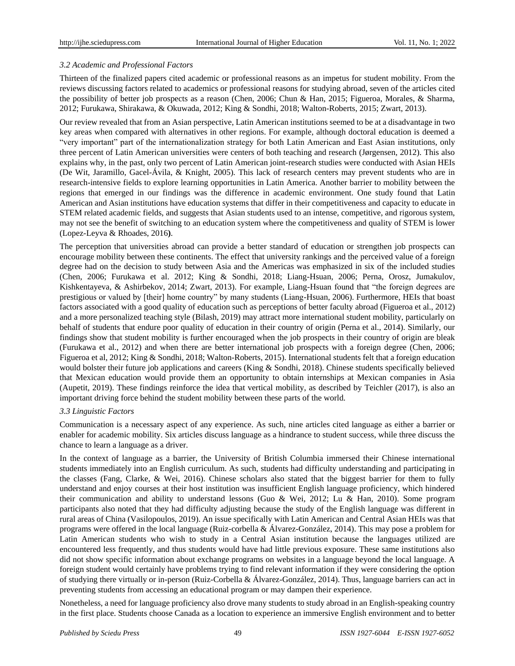# *3.2 Academic and Professional Factors*

Thirteen of the finalized papers cited academic or professional reasons as an impetus for student mobility. From the reviews discussing factors related to academics or professional reasons for studying abroad, seven of the articles cited the possibility of better job prospects as a reason (Chen, 2006; Chun & Han, 2015; Figueroa, Morales, & Sharma, 2012; Furukawa, Shirakawa, & Okuwada, 2012; King & Sondhi, 2018; Walton-Roberts, 2015; Zwart, 2013).

Our review revealed that from an Asian perspective, Latin American institutions seemed to be at a disadvantage in two key areas when compared with alternatives in other regions. For example, although doctoral education is deemed a "very important" part of the internationalization strategy for both Latin American and East Asian institutions, only three percent of Latin American universities were centers of both teaching and research (Jørgensen, 2012). This also explains why, in the past, only two percent of Latin American joint-research studies were conducted with Asian HEIs (De Wit, Jaramillo, Gacel-Ávila, & Knight, 2005). This lack of research centers may prevent students who are in research-intensive fields to explore learning opportunities in Latin America. Another barrier to mobility between the regions that emerged in our findings was the difference in academic environment. One study found that Latin American and Asian institutions have education systems that differ in their competitiveness and capacity to educate in STEM related academic fields, and suggests that Asian students used to an intense, competitive, and rigorous system, may not see the benefit of switching to an education system where the competitiveness and quality of STEM is lower (Lopez-Leyva & Rhoades, 2016**)**.

The perception that universities abroad can provide a better standard of education or strengthen job prospects can encourage mobility between these continents. The effect that university rankings and the perceived value of a foreign degree had on the decision to study between Asia and the Americas was emphasized in six of the included studies (Chen, 2006; Furukawa et al. 2012; King & Sondhi, 2018; Liang-Hsuan, 2006; Perna, Orosz, Jumakulov, Kishkentayeva, & Ashirbekov, 2014; Zwart, 2013). For example, Liang-Hsuan found that "the foreign degrees are prestigious or valued by [their] home country" by many students (Liang-Hsuan, 2006). Furthermore, HEIs that boast factors associated with a good quality of education such as perceptions of better faculty abroad (Figueroa et al., 2012) and a more personalized teaching style (Bilash, 2019) may attract more international student mobility, particularly on behalf of students that endure poor quality of education in their country of origin (Perna et al., 2014). Similarly, our findings show that student mobility is further encouraged when the job prospects in their country of origin are bleak (Furukawa et al., 2012) and when there are better international job prospects with a foreign degree (Chen, 2006; Figueroa et al, 2012; King & Sondhi, 2018; Walton-Roberts, 2015). International students felt that a foreign education would bolster their future job applications and careers (King & Sondhi, 2018). Chinese students specifically believed that Mexican education would provide them an opportunity to obtain internships at Mexican companies in Asia (Aupetit, 2019). These findings reinforce the idea that vertical mobility, as described by Teichler (2017), is also an important driving force behind the student mobility between these parts of the world.

# *3.3 Linguistic Factors*

Communication is a necessary aspect of any experience. As such, nine articles cited language as either a barrier or enabler for academic mobility. Six articles discuss language as a hindrance to student success, while three discuss the chance to learn a language as a driver.

In the context of language as a barrier, the University of British Columbia immersed their Chinese international students immediately into an English curriculum. As such, students had difficulty understanding and participating in the classes (Fang, Clarke, & Wei, 2016). Chinese scholars also stated that the biggest barrier for them to fully understand and enjoy courses at their host institution was insufficient English language proficiency, which hindered their communication and ability to understand lessons (Guo & Wei, 2012; Lu & Han, 2010). Some program participants also noted that they had difficulty adjusting because the study of the English language was different in rural areas of China (Vasilopoulos, 2019). An issue specifically with Latin American and Central Asian HEIs was that programs were offered in the local language (Ruiz-corbella & Álvarez-González, 2014). This may pose a problem for Latin American students who wish to study in a Central Asian institution because the languages utilized are encountered less frequently, and thus students would have had little previous exposure. These same institutions also did not show specific information about exchange programs on websites in a language beyond the local language. A foreign student would certainly have problems trying to find relevant information if they were considering the option of studying there virtually or in-person (Ruiz-Corbella & Álvarez-González, 2014). Thus, language barriers can act in preventing students from accessing an educational program or may dampen their experience.

Nonetheless, a need for language proficiency also drove many students to study abroad in an English-speaking country in the first place. Students choose Canada as a location to experience an immersive English environment and to better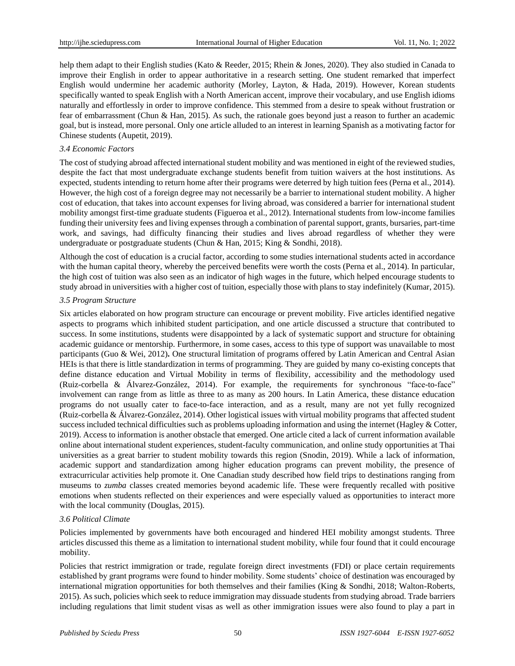help them adapt to their English studies (Kato & Reeder, 2015; Rhein & Jones, 2020). They also studied in Canada to improve their English in order to appear authoritative in a research setting. One student remarked that imperfect English would undermine her academic authority (Morley, Layton, & Hada, 2019). However, Korean students specifically wanted to speak English with a North American accent, improve their vocabulary, and use English idioms naturally and effortlessly in order to improve confidence. This stemmed from a desire to speak without frustration or fear of embarrassment (Chun & Han, 2015). As such, the rationale goes beyond just a reason to further an academic goal, but is instead, more personal. Only one article alluded to an interest in learning Spanish as a motivating factor for Chinese students (Aupetit, 2019).

#### *3.4 Economic Factors*

The cost of studying abroad affected international student mobility and was mentioned in eight of the reviewed studies, despite the fact that most undergraduate exchange students benefit from tuition waivers at the host institutions. As expected, students intending to return home after their programs were deterred by high tuition fees (Perna et al., 2014). However, the high cost of a foreign degree may not necessarily be a barrier to international student mobility. A higher cost of education, that takes into account expenses for living abroad, was considered a barrier for international student mobility amongst first-time graduate students (Figueroa et al., 2012). International students from low-income families funding their university fees and living expenses through a combination of parental support, grants, bursaries, part-time work, and savings, had difficulty financing their studies and lives abroad regardless of whether they were undergraduate or postgraduate students (Chun & Han, 2015; King & Sondhi, 2018).

Although the cost of education is a crucial factor, according to some studies international students acted in accordance with the human capital theory, whereby the perceived benefits were worth the costs (Perna et al., 2014). In particular, the high cost of tuition was also seen as an indicator of high wages in the future, which helped encourage students to study abroad in universities with a higher cost of tuition, especially those with plans to stay indefinitely (Kumar, 2015).

#### *3.5 Program Structure*

Six articles elaborated on how program structure can encourage or prevent mobility. Five articles identified negative aspects to programs which inhibited student participation, and one article discussed a structure that contributed to success. In some institutions, students were disappointed by a lack of systematic support and structure for obtaining academic guidance or mentorship. Furthermore, in some cases, access to this type of support was unavailable to most participants (Guo & Wei, 2012)**.** One structural limitation of programs offered by Latin American and Central Asian HEIs is that there is little standardization in terms of programming. They are guided by many co-existing concepts that define distance education and Virtual Mobility in terms of flexibility, accessibility and the methodology used (Ruiz-corbella & Álvarez-González, 2014). For example, the requirements for synchronous "face-to-face" involvement can range from as little as three to as many as 200 hours. In Latin America, these distance education programs do not usually cater to face-to-face interaction, and as a result, many are not yet fully recognized (Ruiz-corbella & Álvarez-González, 2014). Other logistical issues with virtual mobility programs that affected student success included technical difficulties such as problems uploading information and using the internet (Hagley & Cotter, 2019). Access to information is another obstacle that emerged. One article cited a lack of current information available online about international student experiences, student-faculty communication, and online study opportunities at Thai universities as a great barrier to student mobility towards this region (Snodin, 2019). While a lack of information, academic support and standardization among higher education programs can prevent mobility, the presence of extracurricular activities help promote it. One Canadian study described how field trips to destinations ranging from museums to *zumba* classes created memories beyond academic life. These were frequently recalled with positive emotions when students reflected on their experiences and were especially valued as opportunities to interact more with the local community (Douglas, 2015).

#### *3.6 Political Climate*

Policies implemented by governments have both encouraged and hindered HEI mobility amongst students. Three articles discussed this theme as a limitation to international student mobility, while four found that it could encourage mobility.

Policies that restrict immigration or trade, regulate foreign direct investments (FDI) or place certain requirements established by grant programs were found to hinder mobility. Some students' choice of destination was encouraged by international migration opportunities for both themselves and their families (King & Sondhi, 2018; Walton-Roberts, 2015). As such, policies which seek to reduce immigration may dissuade students from studying abroad. Trade barriers including regulations that limit student visas as well as other immigration issues were also found to play a part in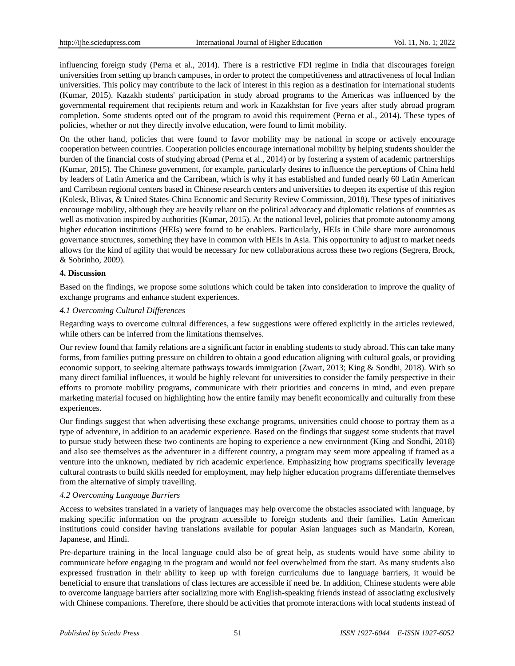influencing foreign study (Perna et al., 2014). There is a restrictive FDI regime in India that discourages foreign universities from setting up branch campuses, in order to protect the competitiveness and attractiveness of local Indian universities. This policy may contribute to the lack of interest in this region as a destination for international students (Kumar, 2015). Kazakh students' participation in study abroad programs to the Americas was influenced by the governmental requirement that recipients return and work in Kazakhstan for five years after study abroad program completion. Some students opted out of the program to avoid this requirement (Perna et al., 2014). These types of policies, whether or not they directly involve education, were found to limit mobility.

On the other hand, policies that were found to favor mobility may be national in scope or actively encourage cooperation between countries. Cooperation policies encourage international mobility by helping students shoulder the burden of the financial costs of studying abroad (Perna et al., 2014) or by fostering a system of academic partnerships (Kumar, 2015). The Chinese government, for example, particularly desires to influence the perceptions of China held by leaders of Latin America and the Carribean, which is why it has established and funded nearly 60 Latin American and Carribean regional centers based in Chinese research centers and universities to deepen its expertise of this region (Kolesk, Blivas, & United States-China Economic and Security Review Commission, 2018). These types of initiatives encourage mobility, although they are heavily reliant on the political advocacy and diplomatic relations of countries as well as motivation inspired by authorities (Kumar, 2015). At the national level, policies that promote autonomy among higher education institutions (HEIs) were found to be enablers. Particularly, HEIs in Chile share more autonomous governance structures, something they have in common with HEIs in Asia. This opportunity to adjust to market needs allows for the kind of agility that would be necessary for new collaborations across these two regions (Segrera, Brock, & Sobrinho, 2009).

# **4. Discussion**

Based on the findings, we propose some solutions which could be taken into consideration to improve the quality of exchange programs and enhance student experiences.

#### *4.1 Overcoming Cultural Differences*

Regarding ways to overcome cultural differences, a few suggestions were offered explicitly in the articles reviewed, while others can be inferred from the limitations themselves.

Our review found that family relations are a significant factor in enabling students to study abroad. This can take many forms, from families putting pressure on children to obtain a good education aligning with cultural goals, or providing economic support, to seeking alternate pathways towards immigration (Zwart, 2013; King & Sondhi, 2018). With so many direct familial influences, it would be highly relevant for universities to consider the family perspective in their efforts to promote mobility programs, communicate with their priorities and concerns in mind, and even prepare marketing material focused on highlighting how the entire family may benefit economically and culturally from these experiences.

Our findings suggest that when advertising these exchange programs, universities could choose to portray them as a type of adventure, in addition to an academic experience. Based on the findings that suggest some students that travel to pursue study between these two continents are hoping to experience a new environment (King and Sondhi, 2018) and also see themselves as the adventurer in a different country, a program may seem more appealing if framed as a venture into the unknown, mediated by rich academic experience. Emphasizing how programs specifically leverage cultural contrasts to build skills needed for employment, may help higher education programs differentiate themselves from the alternative of simply travelling.

# *4.2 Overcoming Language Barriers*

Access to websites translated in a variety of languages may help overcome the obstacles associated with language, by making specific information on the program accessible to foreign students and their families. Latin American institutions could consider having translations available for popular Asian languages such as Mandarin, Korean, Japanese, and Hindi.

Pre-departure training in the local language could also be of great help, as students would have some ability to communicate before engaging in the program and would not feel overwhelmed from the start. As many students also expressed frustration in their ability to keep up with foreign curriculums due to language barriers, it would be beneficial to ensure that translations of class lectures are accessible if need be. In addition, Chinese students were able to overcome language barriers after socializing more with English-speaking friends instead of associating exclusively with Chinese companions. Therefore, there should be activities that promote interactions with local students instead of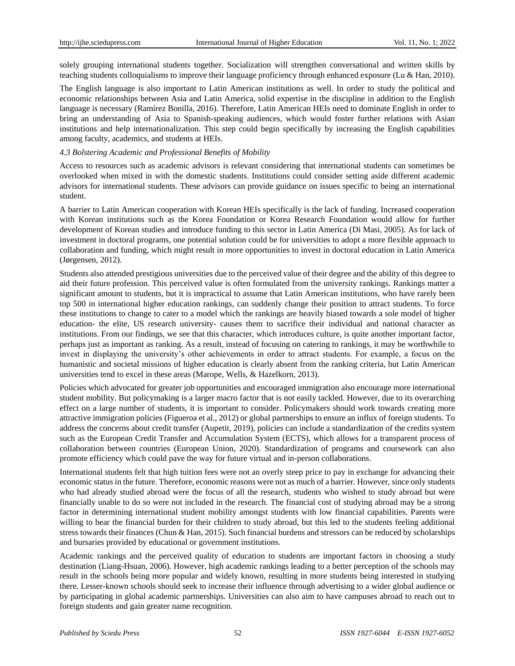solely grouping international students together. Socialization will strengthen conversational and written skills by teaching students colloquialisms to improve their language proficiency through enhanced exposure (Lu & Han, 2010).

The English language is also important to Latin American institutions as well. In order to study the political and economic relationships between Asia and Latin America, solid expertise in the discipline in addition to the English language is necessary (Ram fez Bonilla, 2016). Therefore, Latin American HEIs need to dominate English in order to bring an understanding of Asia to Spanish-speaking audiences, which would foster further relations with Asian institutions and help internationalization. This step could begin specifically by increasing the English capabilities among faculty, academics, and students at HEIs.

# *4.3 Bolstering Academic and Professional Benefits of Mobility*

Access to resources such as academic advisors is relevant considering that international students can sometimes be overlooked when mixed in with the domestic students. Institutions could consider setting aside different academic advisors for international students. These advisors can provide guidance on issues specific to being an international student.

A barrier to Latin American cooperation with Korean HEIs specifically is the lack of funding. Increased cooperation with Korean institutions such as the Korea Foundation or Korea Research Foundation would allow for further development of Korean studies and introduce funding to this sector in Latin America (Di Masi, 2005). As for lack of investment in doctoral programs, one potential solution could be for universities to adopt a more flexible approach to collaboration and funding, which might result in more opportunities to invest in doctoral education in Latin America (Jørgensen, 2012).

Students also attended prestigious universities due to the perceived value of their degree and the ability of this degree to aid their future profession. This perceived value is often formulated from the university rankings. Rankings matter a significant amount to students, but it is impractical to assume that Latin American institutions, who have rarely been top 500 in international higher education rankings, can suddenly change their position to attract students. To force these institutions to change to cater to a model which the rankings are heavily biased towards a sole model of higher education- the elite, US research university- causes them to sacrifice their individual and national character as institutions. From our findings, we see that this character, which introduces culture, is quite another important factor, perhaps just as important as ranking. As a result, instead of focusing on catering to rankings, it may be worthwhile to invest in displaying the university's other achievements in order to attract students. For example, a focus on the humanistic and societal missions of higher education is clearly absent from the ranking criteria, but Latin American universities tend to excel in these areas (Marope, Wells, & Hazelkorn, 2013).

Policies which advocated for greater job opportunities and encouraged immigration also encourage more international student mobility. But policymaking is a larger macro factor that is not easily tackled. However, due to its overarching effect on a large number of students, it is important to consider. Policymakers should work towards creating more attractive immigration policies (Figueroa et al., 2012) or global partnerships to ensure an influx of foreign students. To address the concerns about credit transfer (Aupetit, 2019), policies can include a standardization of the credits system such as the European Credit Transfer and Accumulation System (ECTS), which allows for a transparent process of collaboration between countries (European Union, 2020). Standardization of programs and coursework can also promote efficiency which could pave the way for future virtual and in-person collaborations.

International students felt that high tuition fees were not an overly steep price to pay in exchange for advancing their economic status in the future. Therefore, economic reasons were not as much of a barrier. However, since only students who had already studied abroad were the focus of all the research, students who wished to study abroad but were financially unable to do so were not included in the research. The financial cost of studying abroad may be a strong factor in determining international student mobility amongst students with low financial capabilities. Parents were willing to bear the financial burden for their children to study abroad, but this led to the students feeling additional stress towards their finances (Chun & Han, 2015). Such financial burdens and stressors can be reduced by scholarships and bursaries provided by educational or government institutions.

Academic rankings and the perceived quality of education to students are important factors in choosing a study destination (Liang-Hsuan, 2006). However, high academic rankings leading to a better perception of the schools may result in the schools being more popular and widely known, resulting in more students being interested in studying there. Lesser-known schools should seek to increase their influence through advertising to a wider global audience or by participating in global academic partnerships. Universities can also aim to have campuses abroad to reach out to foreign students and gain greater name recognition.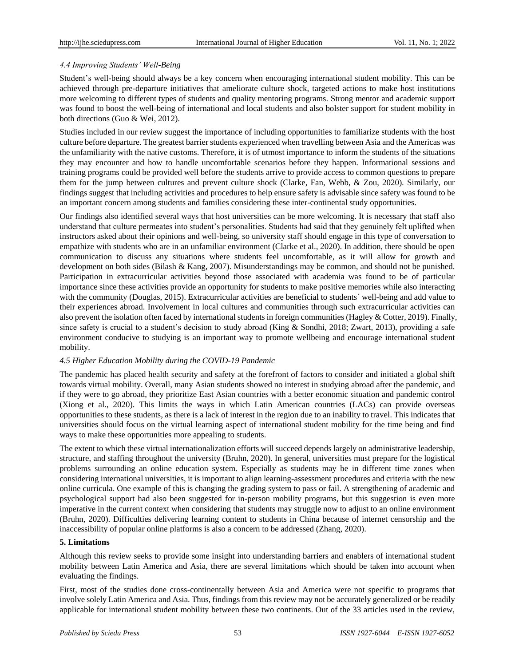# *4.4 Improving Students' Well-Being*

Student's well-being should always be a key concern when encouraging international student mobility. This can be achieved through pre-departure initiatives that ameliorate culture shock, targeted actions to make host institutions more welcoming to different types of students and quality mentoring programs. Strong mentor and academic support was found to boost the well-being of international and local students and also bolster support for student mobility in both directions (Guo & Wei, 2012).

Studies included in our review suggest the importance of including opportunities to familiarize students with the host culture before departure. The greatest barrier students experienced when travelling between Asia and the Americas was the unfamiliarity with the native customs. Therefore, it is of utmost importance to inform the students of the situations they may encounter and how to handle uncomfortable scenarios before they happen. Informational sessions and training programs could be provided well before the students arrive to provide access to common questions to prepare them for the jump between cultures and prevent culture shock (Clarke, Fan, Webb, & Zou, 2020). Similarly, our findings suggest that including activities and procedures to help ensure safety is advisable since safety was found to be an important concern among students and families considering these inter-continental study opportunities.

Our findings also identified several ways that host universities can be more welcoming. It is necessary that staff also understand that culture permeates into student's personalities. Students had said that they genuinely felt uplifted when instructors asked about their opinions and well-being, so university staff should engage in this type of conversation to empathize with students who are in an unfamiliar environment (Clarke et al., 2020). In addition, there should be open communication to discuss any situations where students feel uncomfortable, as it will allow for growth and development on both sides (Bilash & Kang, 2007). Misunderstandings may be common, and should not be punished. Participation in extracurricular activities beyond those associated with academia was found to be of particular importance since these activities provide an opportunity for students to make positive memories while also interacting with the community (Douglas, 2015). Extracurricular activities are beneficial to students *'well-being and add value to* their experiences abroad. Involvement in local cultures and communities through such extracurricular activities can also prevent the isolation often faced by international students in foreign communities (Hagley & Cotter, 2019). Finally, since safety is crucial to a student's decision to study abroad (King & Sondhi, 2018; Zwart, 2013), providing a safe environment conducive to studying is an important way to promote wellbeing and encourage international student mobility.

# *4.5 Higher Education Mobility during the COVID-19 Pandemic*

The pandemic has placed health security and safety at the forefront of factors to consider and initiated a global shift towards virtual mobility. Overall, many Asian students showed no interest in studying abroad after the pandemic, and if they were to go abroad, they prioritize East Asian countries with a better economic situation and pandemic control (Xiong et al., 2020). This limits the ways in which Latin American countries (LACs) can provide overseas opportunities to these students, as there is a lack of interest in the region due to an inability to travel. This indicates that universities should focus on the virtual learning aspect of international student mobility for the time being and find ways to make these opportunities more appealing to students.

The extent to which these virtual internationalization efforts will succeed depends largely on administrative leadership, structure, and staffing throughout the university (Bruhn, 2020). In general, universities must prepare for the logistical problems surrounding an online education system. Especially as students may be in different time zones when considering international universities, it is important to align learning-assessment procedures and criteria with the new online curricula. One example of this is changing the grading system to pass or fail. A strengthening of academic and psychological support had also been suggested for in-person mobility programs, but this suggestion is even more imperative in the current context when considering that students may struggle now to adjust to an online environment (Bruhn, 2020). Difficulties delivering learning content to students in China because of internet censorship and the inaccessibility of popula[r online platforms](https://www.timeshighereducation.com/online-learning-shift-contends-chinese-internet-restrictions) is also a concern to be addressed (Zhang, 2020).

# **5. Limitations**

Although this review seeks to provide some insight into understanding barriers and enablers of international student mobility between Latin America and Asia, there are several limitations which should be taken into account when evaluating the findings.

First, most of the studies done cross-continentally between Asia and America were not specific to programs that involve solely Latin America and Asia. Thus, findings from this review may not be accurately generalized or be readily applicable for international student mobility between these two continents. Out of the 33 articles used in the review,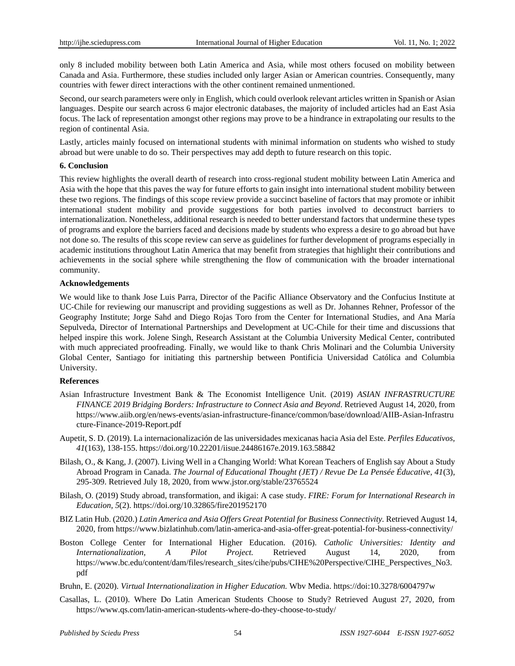only 8 included mobility between both Latin America and Asia, while most others focused on mobility between Canada and Asia. Furthermore, these studies included only larger Asian or American countries. Consequently, many countries with fewer direct interactions with the other continent remained unmentioned.

Second, our search parameters were only in English, which could overlook relevant articles written in Spanish or Asian languages. Despite our search across 6 major electronic databases, the majority of included articles had an East Asia focus. The lack of representation amongst other regions may prove to be a hindrance in extrapolating our results to the region of continental Asia.

Lastly, articles mainly focused on international students with minimal information on students who wished to study abroad but were unable to do so. Their perspectives may add depth to future research on this topic.

#### **6. Conclusion**

This review highlights the overall dearth of research into cross-regional student mobility between Latin America and Asia with the hope that this paves the way for future efforts to gain insight into international student mobility between these two regions. The findings of this scope review provide a succinct baseline of factors that may promote or inhibit international student mobility and provide suggestions for both parties involved to deconstruct barriers to internationalization. Nonetheless, additional research is needed to better understand factors that undermine these types of programs and explore the barriers faced and decisions made by students who express a desire to go abroad but have not done so. The results of this scope review can serve as guidelines for further development of programs especially in academic institutions throughout Latin America that may benefit from strategies that highlight their contributions and achievements in the social sphere while strengthening the flow of communication with the broader international community.

#### **Acknowledgements**

We would like to thank Jose Luis Parra, Director of the Pacific Alliance Observatory and the Confucius Institute at UC-Chile for reviewing our manuscript and providing suggestions as well as Dr. Johannes Rehner, Professor of the Geography Institute; Jorge Sahd and Diego Rojas Toro from the Center for International Studies, and Ana María Sepulveda, Director of International Partnerships and Development at UC-Chile for their time and discussions that helped inspire this work. Jolene Singh, Research Assistant at the Columbia University Medical Center, contributed with much appreciated proofreading. Finally, we would like to thank Chris Molinari and the Columbia University Global Center, Santiago for initiating this partnership between Pontificia Universidad Católica and Columbia University.

#### **References**

- Asian Infrastructure Investment Bank & The Economist Intelligence Unit. (2019) *ASIAN INFRASTRUCTURE FINANCE 2019 Bridging Borders: Infrastructure to Connect Asia and Beyond*. Retrieved August 14, 2020, from [https://www.aiib.org/en/news-events/asian-infrastructure-finance/common/base/download/AIIB-Asian-Infrastru](https://www.aiib.org/en/news-events/asian-infrastructure-finance/common/base/download/AIIB-Asian-Infrastructure-Finance-2019-Report.pdf) [cture-Finance-2019-Report.pdf](https://www.aiib.org/en/news-events/asian-infrastructure-finance/common/base/download/AIIB-Asian-Infrastructure-Finance-2019-Report.pdf)
- Aupetit, S. D. (2019). La internacionalización de las universidades mexicanas hacia Asia del Este. *Perfiles Educativos, 41*(163), 138-155. https://doi.org/10.22201/iisue.24486167e.2019.163.58842
- Bilash, O., & Kang, J. (2007). Living Well in a Changing World: What Korean Teachers of English say About a Study Abroad Program in Canada. *The Journal of Educational Thought (JET) / Revue De La Pensée Éducative, 41*(3), 295-309. Retrieved July 18, 2020, from www.jstor.org/stable/23765524
- Bilash, O. (2019) Study abroad, transformation, and ikigai: A case study. *FIRE: Forum for International Research in Education, 5*(2). https://doi.org/10.32865/fire201952170
- BIZ Latin Hub. (2020.) *Latin America and Asia Offers Great Potential for Business Connectivity.* Retrieved August 14, 2020, from https://www.bizlatinhub.com/latin-america-and-asia-offer-great-potential-for-business-connectivity/
- Boston College Center for International Higher Education. (2016). *Catholic Universities: Identity and Internationalization, A Pilot Project.* Retrieved August 14, 2020, from [https://www.bc.edu/content/dam/files/research\\_sites/cihe/pubs/CIHE%20Perspective/CIHE\\_Perspectives\\_No3.](https://www.bc.edu/content/dam/files/research_sites/cihe/pubs/CIHE%20Perspective/CIHE_Perspectives_No3.pdf) [pdf](https://www.bc.edu/content/dam/files/research_sites/cihe/pubs/CIHE%20Perspective/CIHE_Perspectives_No3.pdf)
- Bruhn, E. (2020). *Virtual Internationalization in Higher Education.* Wbv Media. https://doi:10.3278/6004797w
- Casallas, L. (2010). Where Do Latin American Students Choose to Study? Retrieved August 27, 2020, from https://www.qs.com/latin-american-students-where-do-they-choose-to-study/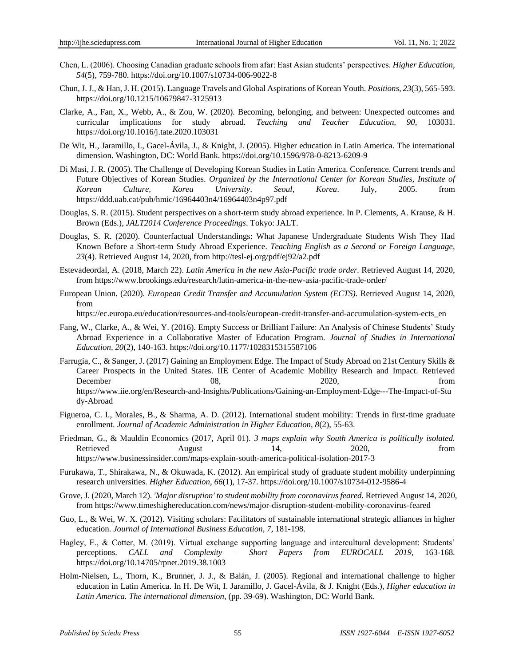- Chen, L. (2006). Choosing Canadian graduate schools from afar: East Asian students' perspectives. *Higher Education, 54*(5), 759-780. https://doi.org/10.1007/s10734-006-9022-8
- Chun, J. J., & Han, J. H. (2015). Language Travels and Global Aspirations of Korean Youth. *Positions, 23*(3), 565-593. https://doi.org/10.1215/10679847-3125913
- Clarke, A., Fan, X., Webb, A., & Zou, W. (2020). Becoming, belonging, and between: Unexpected outcomes and curricular implications for study abroad. *Teaching and Teacher Education, 90*, 103031. https://doi.org/10.1016/j.tate.2020.103031
- De Wit, H., Jaramillo, I., Gacel-Ávila, J., & Knight, J. (2005). Higher education in Latin America. The international dimension. Washington, DC: World Bank. https://doi.org/10.1596/978-0-8213-6209-9
- Di Masi, J. R. (2005). The Challenge of Developing Korean Studies in Latin America. Conference. Current trends and Future Objectives of Korean Studies. *Organized by the International Center for Korean Studies, Institute of Korean Culture, Korea University, Seoul, Korea*. July, 2005. from <https://ddd.uab.cat/pub/hmic/16964403n4/16964403n4p97.pdf>
- Douglas, S. R. (2015). Student perspectives on a short-term study abroad experience. In P. Clements, A. Krause, & H. Brown (Eds.), *JALT2014 Conference Proceedings*. Tokyo: JALT.
- Douglas, S. R. (2020). Counterfactual Understandings: What Japanese Undergraduate Students Wish They Had Known Before a Short-term Study Abroad Experience. *Teaching English as a Second or Foreign Language, 23*(4). Retrieved August 14, 2020, from http://tesl-ej.org/pdf/ej92/a2.pdf
- Estevadeordal, A. (2018, March 22). *Latin America in the new Asia-Pacific trade order.* Retrieved August 14, 2020, from https://www.brookings.edu/research/latin-america-in-the-new-asia-pacific-trade-order/
- European Union. (2020). *European Credit Transfer and Accumulation System (ECTS).* Retrieved August 14, 2020, from

https://ec.europa.eu/education/resources-and-tools/european-credit-transfer-and-accumulation-system-ects\_en

- Fang, W., Clarke, A., & Wei, Y. (2016). Empty Success or Brilliant Failure: An Analysis of Chinese Students' Study Abroad Experience in a Collaborative Master of Education Program. *Journal of Studies in International Education, 20*(2), 140-163. https://doi.org/10.1177/1028315315587106
- Farrugia, C., & Sanger, J. (2017) Gaining an Employment Edge. The Impact of Study Abroad on 21st Century Skills & Career Prospects in the United States. IIE Center of Academic Mobility Research and Impact. Retrieved December 08, 2020, from https://www.iie.org/en/Research-and-Insights/Publications/Gaining-an-Employment-Edge---The-Impact-of-Stu dy-Abroad
- Figueroa, C. I., Morales, B., & Sharma, A. D. (2012). International student mobility: Trends in first-time graduate enrollment. *Journal of Academic Administration in Higher Education, 8*(2), 55-63.
- Friedman, G., & Mauldin Economics (2017, April 01). *3 maps explain why South America is politically isolated.* Retrieved August 14, 2020, from https://www.businessinsider.com/maps-explain-south-america-political-isolation-2017-3
- Furukawa, T., Shirakawa, N., & Okuwada, K. (2012). An empirical study of graduate student mobility underpinning research universities. *Higher Education, 66*(1), 17-37. https://doi.org/10.1007/s10734-012-9586-4
- Grove, J. (2020, March 12). *'Major disruption' to student mobility from coronavirus feared.* Retrieved August 14, 2020, from https://www.timeshighereducation.com/news/major-disruption-student-mobility-coronavirus-feared
- Guo, L., & Wei, W. X. (2012). Visiting scholars: Facilitators of sustainable international strategic alliances in higher education. *Journal of International Business Education, 7*, 181-198.
- Hagley, E., & Cotter, M. (2019). Virtual exchange supporting language and intercultural development: Students' perceptions. *CALL and Complexity – Short Papers from EUROCALL 2019,* 163-168. https://doi.org/10.14705/rpnet.2019.38.1003
- Holm-Nielsen, L., Thorn, K., Brunner, J. J., & Balán, J. (2005). Regional and international challenge to higher education in Latin America. In H. De Wit, I. Jaramillo, J. Gacel-Ávila, & J. Knight (Eds.), *Higher education in Latin America. The international dimension*, (pp. 39-69). Washington, DC: World Bank.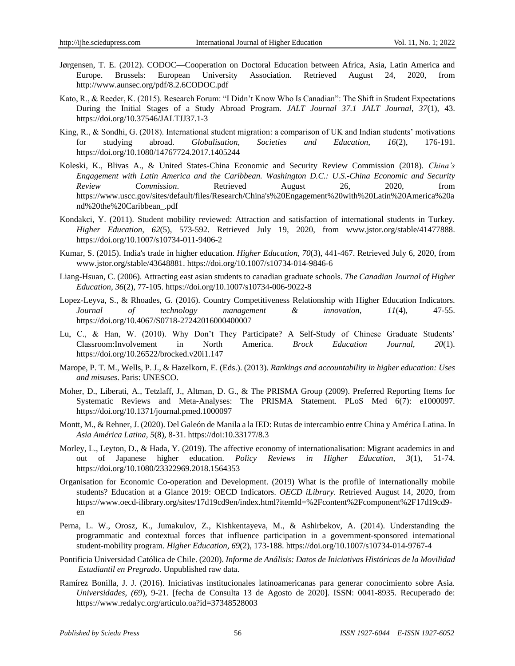- Jørgensen, T. E. (2012). CODOC—Cooperation on Doctoral Education between Africa, Asia, Latin America and Europe. Brussels: European University Association. Retrieved August 24, 2020, from <http://www.aunsec.org/pdf/8.2.6CODOC.pdf>
- Kato, R., & Reeder, K. (2015). Research Forum: "I Didn't Know Who Is Canadian": The Shift in Student Expectations During the Initial Stages of a Study Abroad Program. *JALT Journal 37.1 JALT Journal, 37*(1), 43. https://doi.org/10.37546/JALTJJ37.1-3
- King, R., & Sondhi, G. (2018). International student migration: a comparison of UK and Indian students' motivations for studying abroad. *Globalisation, Societies and Education, 16*(2), 176-191. https://doi.org/10.1080/14767724.2017.1405244
- Koleski, K., Blivas A., & United States-China Economic and Security Review Commission (2018). *China's Engagement with Latin America and the Caribbean. Washington D.C.: U.S.-China Economic and Security Review Commission*. Retrieved August 26, 2020, from [https://www.uscc.gov/sites/default/files/Research/China's%20Engagement%20with%20Latin%20America%20a](https://www.uscc.gov/sites/default/files/Research/China) [nd%20the%20Caribbean\\_.pdf](https://www.uscc.gov/sites/default/files/Research/China)
- Kondakci, Y. (2011). Student mobility reviewed: Attraction and satisfaction of international students in Turkey. *Higher Education, 62*(5), 573-592. Retrieved July 19, 2020, from [www.jstor.org/stable/41477888.](http://www.jstor.org/stable/41477888) https://doi.org/10.1007/s10734-011-9406-2
- Kumar, S. (2015). India's trade in higher education. *Higher Education, 70*(3), 441-467. Retrieved July 6, 2020, from [www.jstor.org/stable/43648881.](http://www.jstor.org/stable/43648881) https://doi.org/10.1007/s10734-014-9846-6
- Liang-Hsuan, C. (2006). Attracting east asian students to canadian graduate schools. *The Canadian Journal of Higher Education, 36*(2), 77-105. https://doi.org/10.1007/s10734-006-9022-8
- Lopez-Leyva, S., & Rhoades, G. (2016). Country Competitiveness Relationship with Higher Education Indicators. *Journal of technology management & innovation, 11*(4), 47-55. <https://doi.org/10.4067/S0718-27242016000400007>
- Lu, C., & Han, W. (2010). Why Don't They Participate? A Self-Study of Chinese Graduate Students' Classroom:Involvement in North America. *Brock Education Journal, 20*(1). https://doi.org/10.26522/brocked.v20i1.147
- Marope, P. T. M., Wells, P. J., & Hazelkorn, E. (Eds.). (2013). *Rankings and accountability in higher education: Uses and misuses*. Paris: UNESCO.
- Moher, D., Liberati, A., Tetzlaff, J., Altman, D. G., & The PRISMA Group (2009). Preferred Reporting Items for Systematic Reviews and Meta-Analyses: The PRISMA Statement. PLoS Med 6(7): e1000097. <https://doi.org/10.1371/journal.pmed.1000097>
- Montt, M., & Rehner, J. (2020). Del Galeón de Manila a la IED: Rutas de intercambio entre China y América Latina. In *Asia América Latina, 5*(8), 8-31[. https://doi:10.33177/8.3](about:blank)
- Morley, L., Leyton, D., & Hada, Y. (2019). The affective economy of internationalisation: Migrant academics in and out of Japanese higher education. *Policy Reviews in Higher Education, 3*(1), 51-74. https://doi.org/10.1080/23322969.2018.1564353
- Organisation for Economic Co-operation and Development. (2019) What is the profile of internationally mobile students? Education at a Glance 2019: OECD Indicators. *OECD iLibrary.* Retrieved August 14, 2020, from https://www.oecd-ilibrary.org/sites/17d19cd9en/index.html?itemId=%2Fcontent%2Fcomponent%2F17d19cd9 en
- Perna, L. W., Orosz, K., Jumakulov, Z., Kishkentayeva, M., & Ashirbekov, A. (2014). Understanding the programmatic and contextual forces that influence participation in a government-sponsored international student-mobility program. *Higher Education, 69*(2), 173-188. https://doi.org/10.1007/s10734-014-9767-4
- [Pontificia Universidad Católica de Chile.](http://www.uc.cl/en) (2020). *Informe de Análisis: Datos de Iniciativas Históricas de la Movilidad Estudiantil en Pregrado*. Unpublished raw data.
- Ramírez Bonilla, J. J. (2016). Iniciativas institucionales latinoamericanas para generar conocimiento sobre Asia. *Universidades, (69*), 9-21. [fecha de Consulta 13 de Agosto de 2020]. ISSN: 0041-8935. Recuperado de: <https://www.redalyc.org/articulo.oa?id=37348528003>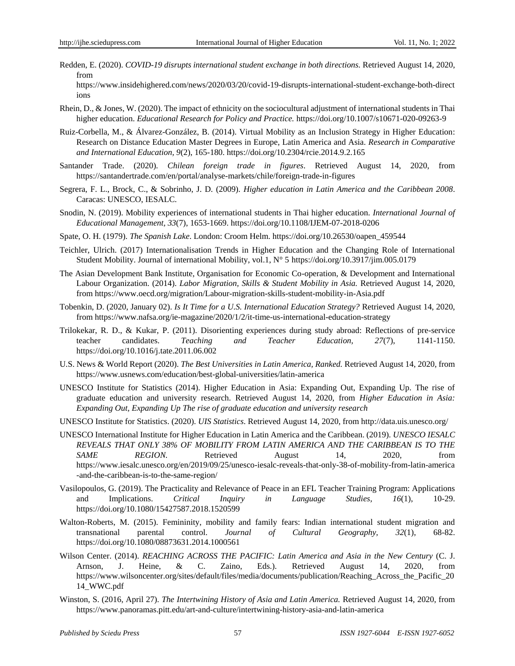Redden, E. (2020). *COVID-19 disrupts international student exchange in both directions.* Retrieved August 14, 2020, from

https://www.insidehighered.com/news/2020/03/20/covid-19-disrupts-international-student-exchange-both-direct ions

- Rhein, D., & Jones, W. (2020). The impact of ethnicity on the sociocultural adjustment of international students in Thai higher education. *Educational Research for Policy and Practice.* https://doi.org/10.1007/s10671-020-09263-9
- Ruiz-Corbella, M., & Álvarez-González, B. (2014). Virtual Mobility as an Inclusion Strategy in Higher Education: Research on Distance Education Master Degrees in Europe, Latin America and Asia. *Research in Comparative and International Education, 9*(2), 165-180. https://doi.org/10.2304/rcie.2014.9.2.165
- Santander Trade. (2020). *Chilean foreign trade in figures*. Retrieved August 14, 2020, from <https://santandertrade.com/en/portal/analyse-markets/chile/foreign-trade-in-figures>
- Segrera, F. L., Brock, C., & Sobrinho, J. D. (2009). *Higher education in Latin America and the Caribbean 2008*. Caracas: UNESCO, IESALC.
- Snodin, N. (2019). Mobility experiences of international students in Thai higher education. *International Journal of Educational Management, 33*(7), 1653-1669. https://doi.org/10.1108/IJEM-07-2018-0206
- Spate, O. H. (1979). *The Spanish Lake*. London: Croom Helm. https://doi.org/10.26530/oapen\_459544
- Teichler, Ulrich. (2017) Internationalisation Trends in Higher Education and the Changing Role of International Student Mobility. Journal of international Mobility, vol.1, N° 5 https://doi.org/10.3917/jim.005.0179
- The Asian Development Bank Institute, Organisation for Economic Co-operation, & Development and International Labour Organization. (2014). *Labor Migration, Skills & Student Mobility in Asia.* Retrieved August 14, 2020, from<https://www.oecd.org/migration/Labour-migration-skills-student-mobility-in-Asia.pdf>
- Tobenkin, D. (2020, January 02). *Is It Time for a U.S. International Education Strategy?* Retrieved August 14, 2020, from https://www.nafsa.org/ie-magazine/2020/1/2/it-time-us-international-education-strategy
- Trilokekar, R. D., & Kukar, P. (2011). Disorienting experiences during study abroad: Reflections of pre-service teacher candidates. *Teaching and Teacher Education, 27*(7), 1141-1150. https://doi.org/10.1016/j.tate.2011.06.002
- U.S. News & World Report (2020). *The Best Universities in Latin America, Ranked.* Retrieved August 14, 2020, from https://www.usnews.com/education/best-global-universities/latin-america
- UNESCO Institute for Statistics (2014). Higher Education in Asia: Expanding Out, Expanding Up. The rise of graduate education and university research. Retrieved August 14, 2020, from *Higher Education in Asia: Expanding Out, Expanding Up The rise of graduate education and university research*
- UNESCO Institute for Statistics. (2020). *UIS Statistics*. Retrieved August 14, 2020, from http://data.uis.unesco.org/
- UNESCO International Institute for Higher Education in Latin America and the Caribbean. (2019). *UNESCO IESALC REVEALS THAT ONLY 38% OF MOBILITY FROM LATIN AMERICA AND THE CARIBBEAN IS TO THE SAME REGION*. Retrieved August 14, 2020, from https://www.iesalc.unesco.org/en/2019/09/25/unesco-iesalc-reveals-that-only-38-of-mobility-from-latin-america -and-the-caribbean-is-to-the-same-region/
- Vasilopoulos, G. (2019). The Practicality and Relevance of Peace in an EFL Teacher Training Program: Applications and Implications. *Critical Inquiry in Language Studies, 16*(1), 10-29. https://doi.org/10.1080/15427587.2018.1520599
- Walton-Roberts, M. (2015). Femininity, mobility and family fears: Indian international student migration and transnational parental control. *Journal of Cultural Geography, 32*(1), 68-82. https://doi.org/10.1080/08873631.2014.1000561
- Wilson Center. (2014). *REACHING ACROSS THE PACIFIC: Latin America and Asia in the New Century* (C. J. Arnson, J. Heine, & C. Zaino, Eds.). Retrieved August 14, 2020, from https://www.wilsoncenter.org/sites/default/files/media/documents/publication/Reaching\_Across\_the\_Pacific\_20 14\_WWC.pdf
- Winston, S. (2016, April 27). *The Intertwining History of Asia and Latin America.* Retrieved August 14, 2020, from https://www.panoramas.pitt.edu/art-and-culture/intertwining-history-asia-and-latin-america